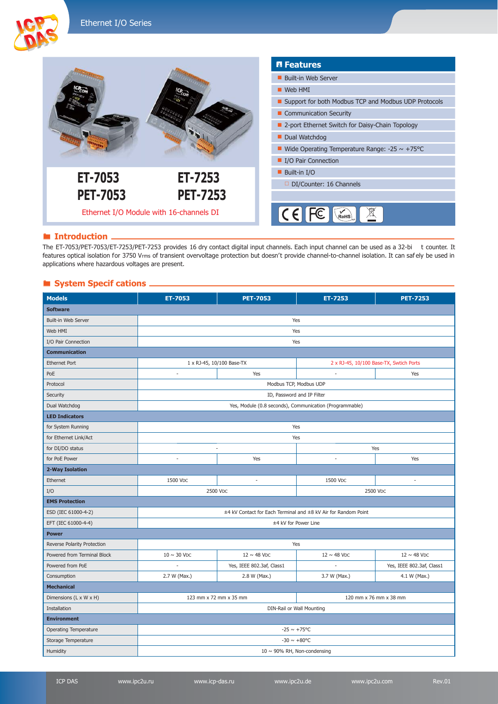

#### **Introduction**.

The ET-7053/PET-7053/ET-7253/PET-7253 provides 16 dry contact digital input channels. Each input channel can be used as a 32-bi t counter. It features optical isolation for 3750 Vrms of transient overvoltage protection but doesn't provide channel-to-channel isolation. It can saf ely be used in applications where hazardous voltages are present.

### **System Specif cations -**

| <b>Models</b>               | ET-7053                                                        | <b>PET-7053</b>           | ET-7253                                 | <b>PET-7253</b>           |  |
|-----------------------------|----------------------------------------------------------------|---------------------------|-----------------------------------------|---------------------------|--|
| <b>Software</b>             |                                                                |                           |                                         |                           |  |
| Built-in Web Server         | Yes                                                            |                           |                                         |                           |  |
| Web HMI                     | Yes                                                            |                           |                                         |                           |  |
| I/O Pair Connection         | Yes                                                            |                           |                                         |                           |  |
| <b>Communication</b>        |                                                                |                           |                                         |                           |  |
| <b>Ethernet Port</b>        | 1 x RJ-45, 10/100 Base-TX                                      |                           | 2 x RJ-45, 10/100 Base-TX, Swtich Ports |                           |  |
| PoE                         | Yes<br>ä,                                                      |                           | Yes<br>$\overline{\phantom{a}}$         |                           |  |
| Protocol                    | Modbus TCP, Modbus UDP                                         |                           |                                         |                           |  |
| Security                    | ID, Password and IP Filter                                     |                           |                                         |                           |  |
| Dual Watchdog               | Yes, Module (0.8 seconds), Communication (Programmable)        |                           |                                         |                           |  |
| <b>LED Indicators</b>       |                                                                |                           |                                         |                           |  |
| for System Running          | Yes                                                            |                           |                                         |                           |  |
| for Ethernet Link/Act       | Yes                                                            |                           |                                         |                           |  |
| for DI/DO status            |                                                                |                           | Yes                                     |                           |  |
| for PoE Power               | $\sim$                                                         | Yes                       | ÷,                                      | Yes                       |  |
| 2-Way Isolation             |                                                                |                           |                                         |                           |  |
| Ethernet                    | 1500 V <sub>DC</sub>                                           |                           | 1500 V <sub>DC</sub>                    | ×,                        |  |
| I/O                         | 2500 V <sub>DC</sub><br>2500 V <sub>DC</sub>                   |                           |                                         |                           |  |
| <b>EMS Protection</b>       |                                                                |                           |                                         |                           |  |
| ESD (IEC 61000-4-2)         | ±4 kV Contact for Each Terminal and ±8 kV Air for Random Point |                           |                                         |                           |  |
| EFT (IEC 61000-4-4)         | ±4 kV for Power Line                                           |                           |                                         |                           |  |
| <b>Power</b>                |                                                                |                           |                                         |                           |  |
| Reverse Polarity Protection | Yes                                                            |                           |                                         |                           |  |
| Powered from Terminal Block | $10 \sim 30$ VDC                                               | $12 \sim 48$ VDC          | $12 \sim 48$ VDC                        | $12 \sim 48$ VDC          |  |
| Powered from PoE            |                                                                | Yes, IEEE 802.3af, Class1 | í,                                      | Yes, IEEE 802.3af, Class1 |  |
| Consumption                 | 2.7 W (Max.)                                                   | 2.8 W (Max.)              | 3.7 W (Max.)                            | 4.1 W (Max.)              |  |
| <b>Mechanical</b>           |                                                                |                           |                                         |                           |  |
| Dimensions (L x W x H)      | 123 mm x 72 mm x 35 mm                                         |                           | 120 mm x 76 mm x 38 mm                  |                           |  |
| Installation                | DIN-Rail or Wall Mounting                                      |                           |                                         |                           |  |
| <b>Environment</b>          |                                                                |                           |                                         |                           |  |
| Operating Temperature       | $-25 \sim +75^{\circ}C$                                        |                           |                                         |                           |  |
| Storage Temperature         | $-30 \sim +80^{\circ}C$                                        |                           |                                         |                           |  |
| Humidity                    | $10 \sim 90\%$ RH, Non-condensing                              |                           |                                         |                           |  |